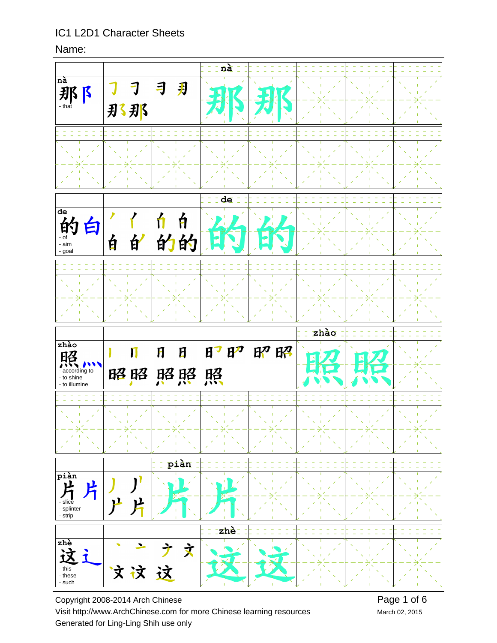#### Name:



Copyright 2008-2014 Arch Chinese Visit http://www.ArchChinese.com for more Chinese learning resources Generated for Ling-Ling Shih use only

March 02, 2015 Page 1 of 6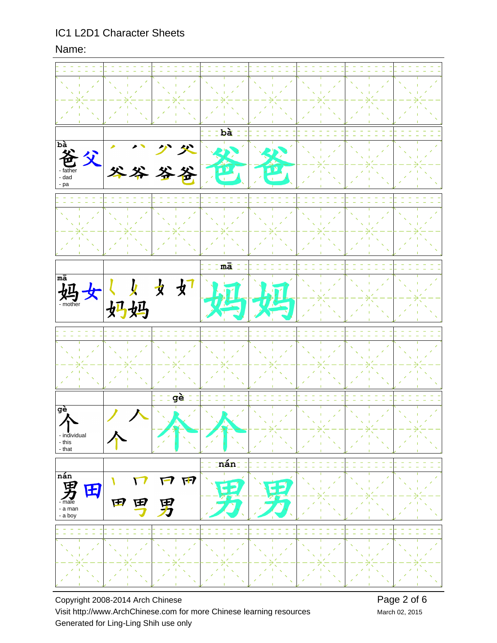#### Name:



Copyright 2008-2014 Arch Chinese Visit http://www.ArchChinese.com for more Chinese learning resources Generated for Ling-Ling Shih use only

Page 2 of 6 March 02, 2015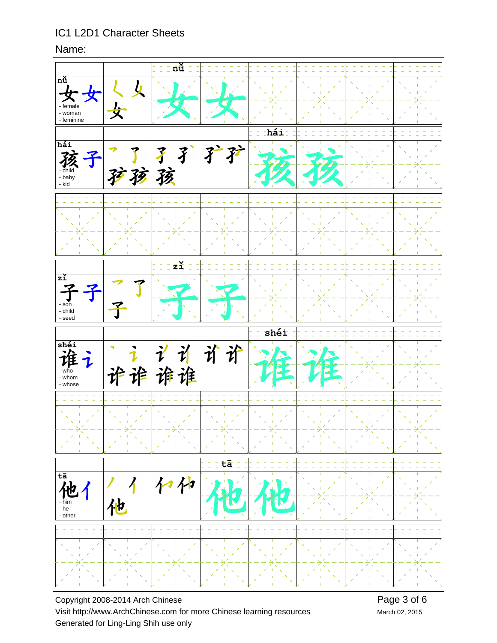#### Name:



Copyright 2008-2014 Arch Chinese Visit http://www.ArchChinese.com for more Chinese learning resources Generated for Ling-Ling Shih use only

March 02, 2015 Page 3 of 6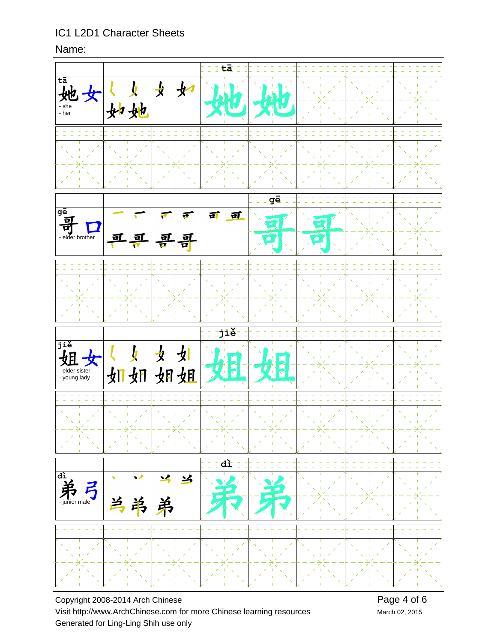#### Name:



Copyright 2008-2014 Arch Chinese Visit http://www.ArchChinese.com for more Chinese learning resources Generated for Ling-Ling Shih use only

March 02, 2015 Page 4 of 6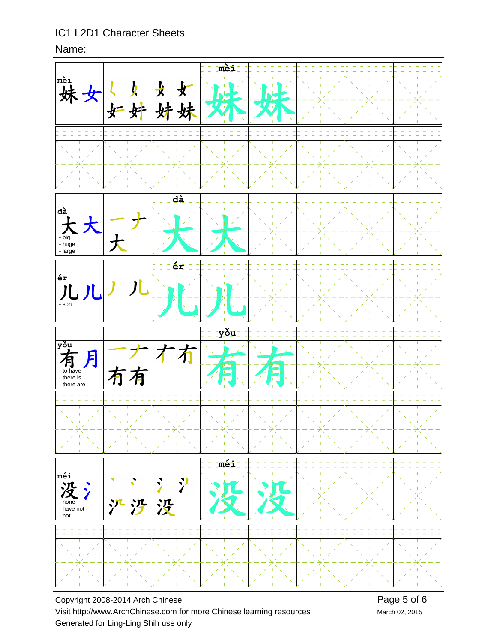#### Name:



Copyright 2008-2014 Arch Chinese Visit http://www.ArchChinese.com for more Chinese learning resources Generated for Ling-Ling Shih use only

Page 5 of 6 March 02, 2015